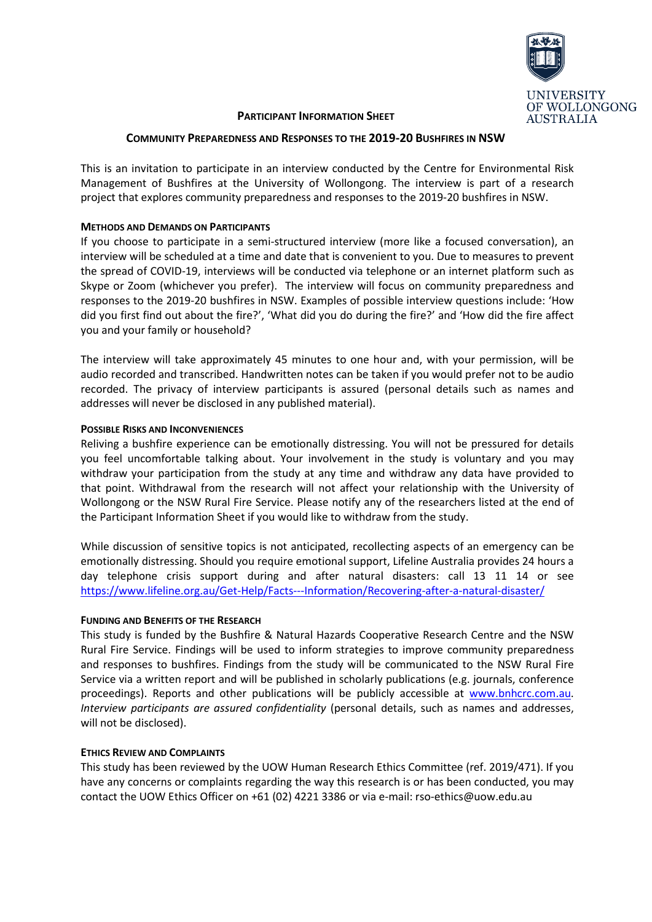

### PARTICIPANT INFORMATION SHEET

### COMMUNITY PREPAREDNESS AND RESPONSES TO THE 2019-20 BUSHFIRES IN NSW

This is an invitation to participate in an interview conducted by the Centre for Environmental Risk Management of Bushfires at the University of Wollongong. The interview is part of a research project that explores community preparedness and responses to the 2019-20 bushfires in NSW.

# METHODS AND DEMANDS ON PARTICIPANTS

If you choose to participate in a semi-structured interview (more like a focused conversation), an interview will be scheduled at a time and date that is convenient to you. Due to measures to prevent the spread of COVID-19, interviews will be conducted via telephone or an internet platform such as Skype or Zoom (whichever you prefer). The interview will focus on community preparedness and responses to the 2019-20 bushfires in NSW. Examples of possible interview questions include: 'How did you first find out about the fire?', 'What did you do during the fire?' and 'How did the fire affect you and your family or household?

The interview will take approximately 45 minutes to one hour and, with your permission, will be audio recorded and transcribed. Handwritten notes can be taken if you would prefer not to be audio recorded. The privacy of interview participants is assured (personal details such as names and addresses will never be disclosed in any published material).

# POSSIBLE RISKS AND INCONVENIENCES

Reliving a bushfire experience can be emotionally distressing. You will not be pressured for details you feel uncomfortable talking about. Your involvement in the study is voluntary and you may withdraw your participation from the study at any time and withdraw any data have provided to that point. Withdrawal from the research will not affect your relationship with the University of Wollongong or the NSW Rural Fire Service. Please notify any of the researchers listed at the end of the Participant Information Sheet if you would like to withdraw from the study.

While discussion of sensitive topics is not anticipated, recollecting aspects of an emergency can be emotionally distressing. Should you require emotional support, Lifeline Australia provides 24 hours a day telephone crisis support during and after natural disasters: call 13 11 14 or see https://www.lifeline.org.au/Get-Help/Facts---Information/Recovering-after-a-natural-disaster/

### FUNDING AND BENEFITS OF THE RESEARCH

This study is funded by the Bushfire & Natural Hazards Cooperative Research Centre and the NSW Rural Fire Service. Findings will be used to inform strategies to improve community preparedness and responses to bushfires. Findings from the study will be communicated to the NSW Rural Fire Service via a written report and will be published in scholarly publications (e.g. journals, conference proceedings). Reports and other publications will be publicly accessible at www.bnhcrc.com.au. Interview participants are assured confidentiality (personal details, such as names and addresses, will not be disclosed).

### ETHICS REVIEW AND COMPLAINTS

This study has been reviewed by the UOW Human Research Ethics Committee (ref. 2019/471). If you have any concerns or complaints regarding the way this research is or has been conducted, you may contact the UOW Ethics Officer on +61 (02) 4221 3386 or via e-mail: rso-ethics@uow.edu.au